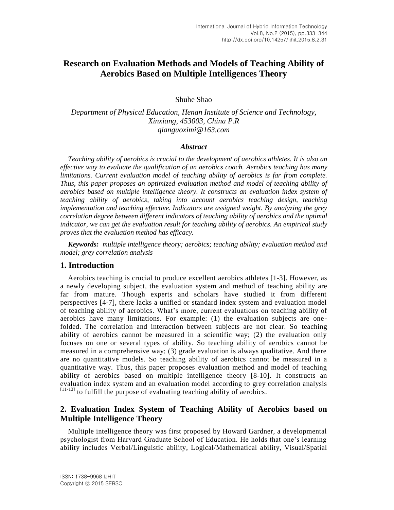# **Research on Evaluation Methods and Models of Teaching Ability of Aerobics Based on Multiple Intelligences Theory**

Shuhe Shao

*Department of Physical Education, Henan Institute of Science and Technology, Xinxiang, 453003, China P.R qianguoximi@163.com*

#### *Abstract*

*Teaching ability of aerobics is crucial to the development of aerobics athletes. It is also an effective way to evaluate the qualification of an aerobics coach. Aerobics teaching has many limitations. Current evaluation model of teaching ability of aerobics is far from complete. Thus, this paper proposes an optimized evaluation method and model of teaching ability of aerobics based on multiple intelligence theory. It constructs an evaluation index system of teaching ability of aerobics, taking into account aerobics teaching design, teaching implementation and teaching effective. Indicators are assigned weight. By analyzing the grey correlation degree between different indicators of teaching ability of aerobics and the optimal indicator, we can get the evaluation result for teaching ability of aerobics. An empirical study proves that the evaluation method has efficacy.*

*Keywords: multiple intelligence theory; aerobics; teaching ability; evaluation method and model; grey correlation analysis*

#### **1. Introduction**

Aerobics teaching is crucial to produce excellent aerobics athletes [1-3]. However, as a newly developing subject, the evaluation system and method of teaching ability are far from mature. Though experts and scholars have studied it from different perspectives [4-7], there lacks a unified or standard index system and evaluation model of teaching ability of aerobics. What's more, current evaluations on teaching ability of aerobics have many limitations. For example: (1) the evaluation subjects are one folded. The correlation and interaction between subjects are not clear. So teaching ability of aerobics cannot be measured in a scientific way; (2) the evaluation only focuses on one or several types of ability. So teaching ability of aerobics cannot be measured in a comprehensive way; (3) grade evaluation is always qualitative. And there are no quantitative models. So teaching ability of aerobics cannot be measured in a quantitative way. Thus, this paper proposes evaluation method and model of teaching ability of aerobics based on multiple intelligence theory [8-10]. It constructs an evaluation index system and an evaluation model according to grey correlation analysis  $^{[11-13]}$  to fulfill the purpose of evaluating teaching ability of aerobics.

## **2. Evaluation Index System of Teaching Ability of Aerobics based on Multiple Intelligence Theory**

Multiple intelligence theory was first proposed by Howard Gardner, a developmental psychologist from Harvard Graduate School of Education. He holds that one's learning ability includes Verbal/Linguistic ability, Logical/Mathematical ability, Visual/Spatial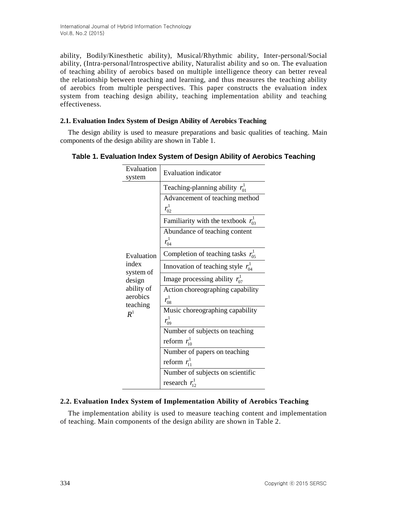ability, Bodily/Kinesthetic ability), Musical/Rhythmic ability, Inter-personal/Social ability, (Intra-personal/Introspective ability, Naturalist ability and so on. The evaluation of teaching ability of aerobics based on multiple intelligence theory can better reveal the relationship between teaching and learning, and thus measures the teaching ability of aerobics from multiple perspectives. This paper constructs the evaluation index system from teaching design ability, teaching implementation ability and teaching effectiveness.

#### **2.1. Evaluation Index System of Design Ability of Aerobics Teaching**

The design ability is used to measure preparations and basic qualities of teaching. Main components of the design ability are shown in Table 1.

| Evaluation<br>system   | <b>Evaluation</b> indicator                    |
|------------------------|------------------------------------------------|
|                        | Teaching-planning ability $r_{01}^{\perp}$     |
|                        | Advancement of teaching method<br>$r_{02}^1$   |
|                        | Familiarity with the textbook $r_{03}^1$       |
|                        | Abundance of teaching content<br>$r_{04}^1$    |
| Evaluation             | Completion of teaching tasks $r_{0.5}^{\perp}$ |
| index<br>system of     | Innovation of teaching style $r_{04}^{\perp}$  |
| design                 | Image processing ability $r_{07}^1$            |
| ability of<br>aerobics | Action choreographing capability<br>$r_{08}^1$ |
| teaching<br>$R^1$      | Music choreographing capability<br>$r_{09}^1$  |
|                        | Number of subjects on teaching                 |
|                        | reform $r_{10}^1$                              |
|                        | Number of papers on teaching                   |
|                        | reform $r_{11}^1$                              |
|                        | Number of subjects on scientific               |
|                        | research $r_{12}^1$                            |

## **Table 1. Evaluation Index System of Design Ability of Aerobics Teaching**

#### **2.2. Evaluation Index System of Implementation Ability of Aerobics Teaching**

The implementation ability is used to measure teaching content and implementation of teaching. Main components of the design ability are shown in Table 2.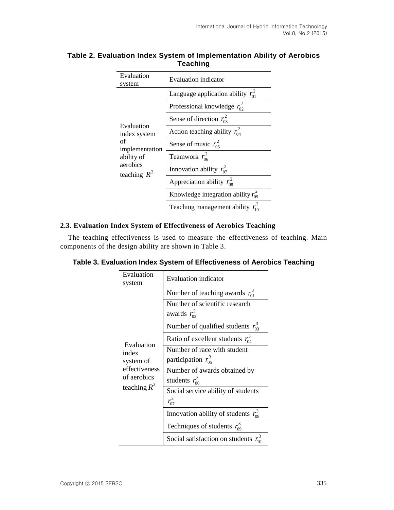| Evaluation<br>system                               | Evaluation indicator                     |
|----------------------------------------------------|------------------------------------------|
|                                                    | Language application ability $r_{01}^2$  |
|                                                    | Professional knowledge $r_{02}^2$        |
|                                                    | Sense of direction $r_{03}^2$            |
| Evaluation<br>index system<br>of<br>implementation | Action teaching ability $r_{04}^2$       |
|                                                    | Sense of music $r_{0.5}^2$               |
| ability of                                         | Teamwork $r_{06}^2$                      |
| aerobics<br>teaching $R^2$                         | Innovation ability $r_{07}^2$            |
|                                                    | Appreciation ability $r_{08}^2$          |
|                                                    | Knowledge integration ability $r_{09}^2$ |
|                                                    | Teaching management ability $r_{10}^2$   |

## **Table 2. Evaluation Index System of Implementation Ability of Aerobics Teaching**

#### **2.3. Evaluation Index System of Effectiveness of Aerobics Teaching**

The teaching effectiveness is used to measure the effectiveness of teaching. Main components of the design ability are shown in Table 3.

| Evaluation<br>system | <b>Evaluation</b> indicator                        |
|----------------------|----------------------------------------------------|
|                      | Number of teaching awards $r_{01}^3$               |
|                      | Number of scientific research<br>awards $r_{02}^3$ |
|                      | Number of qualified students $r_0^3$               |
| Evaluation<br>index  | Ratio of excellent students $r_{04}^3$             |
|                      | Number of race with student                        |
| system of            | participation $r_{05}^3$                           |
| effectiveness        | Number of awards obtained by                       |
| of aerobics          | students $r_{06}^3$                                |
| teaching $R^3$       | Social service ability of students                 |
|                      | $r_{07}^3$                                         |
|                      | Innovation ability of students $r_{08}^3$          |
|                      | Techniques of students $r_{09}^3$                  |
|                      | Social satisfaction on students                    |

**Table 3. Evaluation Index System of Effectiveness of Aerobics Teaching**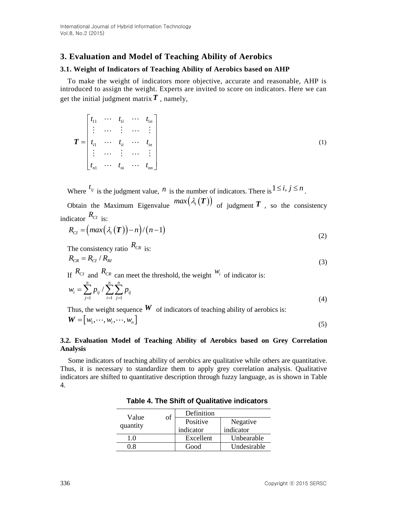## **3. Evaluation and Model of Teaching Ability of Aerobics**

#### **3.1. Weight of Indicators of Teaching Ability of Aerobics based on AHP**

To make the weight of indicators more objective, accurate and reasonable, AHP is introduced to assign the weight. Experts are invited to score on indicators. Here we can get the initial judgment matrix *T* , namely,

$$
\boldsymbol{T} = \begin{bmatrix} t_{11} & \cdots & t_{1i} & \cdots & t_{1n} \\ \vdots & \cdots & \vdots & \cdots & \vdots \\ t_{i1} & \cdots & t_{ii} & \cdots & t_{in} \\ \vdots & \cdots & \vdots & \cdots & \vdots \\ t_{n1} & \cdots & t_{ni} & \cdots & t_{nn} \end{bmatrix}
$$
 (1)

Where  $t_{ij}$  is the judgment value, *n* is the number of indicators. There is  $1 \le i, j \le n$ .

Obtain the Maximum Eigenvalue  $max(\lambda_i(T))$  of judgment T, so the consistency indicator *RCI* is:

$$
R_{CI} = (max(\lambda_t(\boldsymbol{T})) - n) / (n-1)
$$
\n(2)

The consistency ratio  $R_{CR}$  is:

$$
R_{CR} = R_{CI} / R_{RI}
$$
\n<sup>(3)</sup>

If  $R_{CI}$  and  $R_{CR}$  can meet the threshold, the weight  $W_i$  of indicator is:

$$
w_i = \sum_{j=1}^n p_{ij} / \sum_{i=1}^n \sum_{j=1}^n p_{ij}
$$
\n(4)

Thus, the weight sequence  $W$  of indicators of teaching ability of aerobics is: **W**  $\frac{1}{2}$ 

$$
\mathbf{W} = \begin{bmatrix} w_1, \dots, w_i, \dots, w_n \end{bmatrix} \tag{5}
$$

#### **3.2. Evaluation Model of Teaching Ability of Aerobics based on Grey Correlation Analysis**

Some indicators of teaching ability of aerobics are qualitative while others are quantitative. Thus, it is necessary to standardize them to apply grey correlation analysis. Qualitative indicators are shifted to quantitative description through fuzzy language, as is shown in Table 4.

| Value    | of | Definition |             |  |  |
|----------|----|------------|-------------|--|--|
|          |    | Positive   | Negative    |  |  |
| quantity |    | indicator  | indicator   |  |  |
| 1.0      |    | Excellent  | Unbearable  |  |  |
|          |    | Good       | Undesirable |  |  |

**Table 4. The Shift of Qualitative indicators**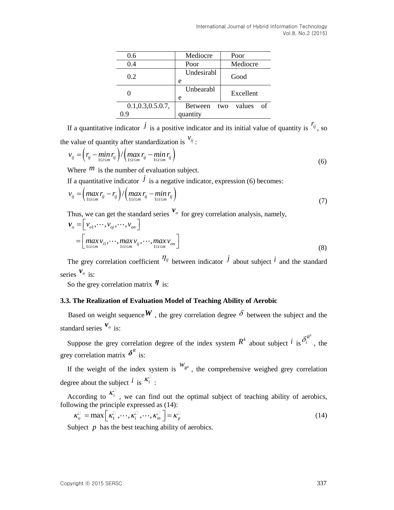| 0.6                   | Mediocre        | Poor                |  |  |
|-----------------------|-----------------|---------------------|--|--|
| 0.4                   | Poor            | Mediocre            |  |  |
| 0.2                   | Undesirabl<br>e | Good                |  |  |
|                       | Unbearabl<br>e  | Excellent           |  |  |
| $0.1, 0.3, 0.5.0.7$ , | <b>Between</b>  | values<br>Ω£<br>two |  |  |
| () Q                  | quantity        |                     |  |  |

If a quantitative indicator  $\hat{J}$  is a positive indicator and its initial value of quantity is  $r_{ij}$ , so

the value of quantity after standardization is 
$$
v_{ij}
$$
:\n
$$
v_{ij} = \left(r_{ij} - \min_{1 \le i \le m} r_{ij}\right) / \left(\max_{1 \le i \le m} r_{ij} - \min_{1 \le i \le m} r_{ij}\right)
$$
\n(6)

Where  $<sup>m</sup>$  is the number of evaluation subject.</sup>

If a quantitative indicator 
$$
\dot{J}
$$
 is a negative indicator, expression (6) becomes:  
\n
$$
v_{ij} = \left(\max_{1 \le i \le m} r_{ij} - r_{ij}\right) / \left(\max_{1 \le i \le m} r_{ij} - \min_{1 \le i \le m} r_{ij}\right)
$$
\n(7)

Thus, we can get the standard series 
$$
\mathbf{v}_o
$$
 for grey correlation analysis, namely,  $\mathbf{v}_o = \left[ v_{o1}, \dots, v_{oj}, \dots, v_{on} \right]$ \n
$$
= \left[ \max_{1 \le i \le m} v_{i1}, \dots, \max_{1 \le i \le m} v_{ij}, \dots, \max_{1 \le i \le m} v_{on} \right]
$$
\n(8)

The grey correlation coefficient  $\eta_{ij}$  between indicator  $\dot{J}$  about subject  $i$  and the standard series  $v_o$  is:

So the grey correlation matrix *η* is:

#### **3.3. The Realization of Evaluation Model of Teaching Ability of Aerobic**

Based on weight sequence  $W$ , the grey correlation degree  $\delta$  between the subject and the standard series  $v_o$  is:

Suppose the grey correlation degree of the index system  $R^k$  about subject  $\hat{i}$  is  $\delta_i^{R^k}$ , the grey correlation matrix  $\delta^R$  is:

If the weight of the index system is  $W_{R^k}$ , the comprehensive weighed grey correlation degree about the subject  $\hat{i}$  is  $\hat{k}_i^{\dagger}$ :

According to  $K_i$ , we can find out the optimal subject of teaching ability of aerobics,

following the principle expressed as (14):  
\n
$$
\kappa_{\scriptscriptstyle D}^{\scriptscriptstyle \sqcup} = \max\left[\kappa_{\scriptscriptstyle 1}^{\scriptscriptstyle \sqcup},\cdots,\kappa_{\scriptscriptstyle i}^{\scriptscriptstyle \sqcup},\cdots,\kappa_{\scriptscriptstyle m}^{\scriptscriptstyle \sqcup}\right] = \kappa_{\scriptscriptstyle P}^{\scriptscriptstyle \sqcup}
$$
\n(14)

Subject  $p$  has the best teaching ability of aerobics.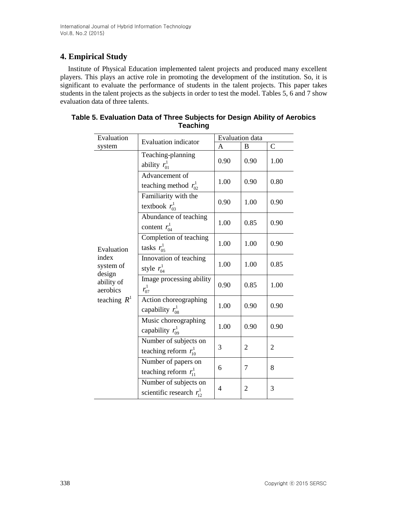# **4. Empirical Study**

Institute of Physical Education implemented talent projects and produced many excellent players. This plays an active role in promoting the development of the institution. So, it is significant to evaluate the performance of students in the talent projects. This paper takes students in the talent projects as the subjects in order to test the model. Tables 5, 6 and 7 show evaluation data of three talents.

| Evaluation                                                               | <b>Evaluation indicator</b>                             | Evaluation data |                |              |
|--------------------------------------------------------------------------|---------------------------------------------------------|-----------------|----------------|--------------|
| system                                                                   |                                                         | A               | B              | $\mathsf{C}$ |
|                                                                          | Teaching-planning<br>ability $r_{01}^1$                 | 0.90            | 0.90           | 1.00         |
|                                                                          | Advancement of<br>teaching method $r_{02}^1$            | 1.00            | 0.90           | 0.80         |
|                                                                          | Familiarity with the<br>textbook $r_{03}^1$             | 0.90            | 1.00           | 0.90         |
|                                                                          | Abundance of teaching<br>content $r_{04}^1$             | 1.00            | 0.85           | 0.90         |
| Evaluation                                                               | Completion of teaching<br>tasks $r_{05}^1$              | 1.00            | 1.00           | 0.90         |
| index<br>system of<br>design<br>ability of<br>aerobics<br>teaching $R^1$ | Innovation of teaching<br>style $r_{04}^1$              | 1.00            | 1.00           | 0.85         |
|                                                                          | Image processing ability<br>$r_{07}^{1}$                | 0.90            | 0.85           | 1.00         |
|                                                                          | Action choreographing<br>capability $r_{08}^1$          | 1.00            | 0.90           | 0.90         |
|                                                                          | Music choreographing<br>capability $r_{09}^1$           | 1.00            | 0.90           | 0.90         |
|                                                                          | Number of subjects on<br>teaching reform $r_{10}^1$     | 3               | 2              | 2            |
|                                                                          | Number of papers on<br>teaching reform $r_{11}^1$       | 6               | $\overline{7}$ | 8            |
|                                                                          | Number of subjects on<br>scientific research $r_{12}^1$ | 4               | $\overline{2}$ | 3            |

| Table 5. Evaluation Data of Three Subjects for Design Ability of Aerobics |                 |  |
|---------------------------------------------------------------------------|-----------------|--|
|                                                                           | <b>Teaching</b> |  |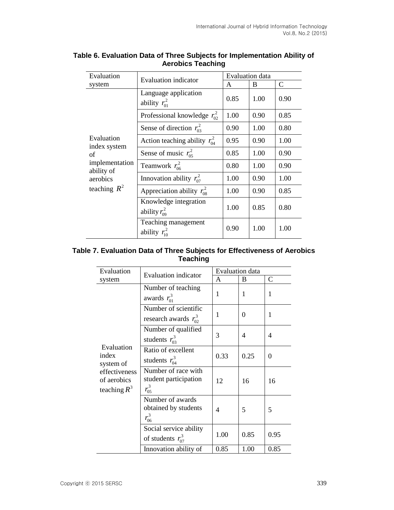| Evaluation                   | Evaluation indicator                        | <b>Evaluation</b> data |      |              |
|------------------------------|---------------------------------------------|------------------------|------|--------------|
| system                       |                                             | A                      | B    | $\mathsf{C}$ |
|                              | Language application<br>ability $r_{01}^2$  | 0.85                   | 1.00 | 0.90         |
|                              | Professional knowledge $r_{02}^2$           | 1.00                   | 0.90 | 0.85         |
|                              | Sense of direction $r_{03}^2$               | 0.90                   | 1.00 | 0.80         |
| Evaluation                   | Action teaching ability $r_{04}^2$          | 0.95                   | 0.90 | 1.00         |
| index system<br>οf           | Sense of music $r_{0.5}^2$                  | 0.85                   | 1.00 | 0.90         |
| implementation<br>ability of | Teamwork $r_{06}^2$                         | 0.80                   | 1.00 | 0.90         |
| aerobics<br>teaching $R^2$   | Innovation ability $r_{07}^2$               | 1.00                   | 0.90 | 1.00         |
|                              | Appreciation ability $r_{08}^2$             | 1.00                   | 0.90 | 0.85         |
|                              | Knowledge integration<br>ability $r_{09}^2$ | 1.00                   | 0.85 | 0.80         |
|                              | Teaching management<br>ability $r_{10}^2$   | 0.90                   | 1.00 | 1.00         |

## **Table 6. Evaluation Data of Three Subjects for Implementation Ability of Aerobics Teaching**

## **Table 7. Evaluation Data of Three Subjects for Effectiveness of Aerobics Teaching**

| Evaluation                                                                         | <b>Evaluation</b> indicator                                   | <b>Evaluation</b> data |                |               |
|------------------------------------------------------------------------------------|---------------------------------------------------------------|------------------------|----------------|---------------|
| system                                                                             |                                                               | A                      | B              | $\mathcal{C}$ |
| Evaluation<br>index<br>system of<br>effectiveness<br>of aerobics<br>teaching $R^3$ | Number of teaching<br>awards $r_{01}^3$                       | 1                      | 1              | 1             |
|                                                                                    | Number of scientific<br>research awards $r_0^3$               | 1                      | $\Omega$       | 1             |
|                                                                                    | Number of qualified<br>students $r_{03}^3$                    | 3                      | $\overline{4}$ | 4             |
|                                                                                    | Ratio of excellent<br>students $r_{04}^3$                     | 0.33                   | 0.25           | $\theta$      |
|                                                                                    | Number of race with<br>student participation<br>$r_{0.5}^{3}$ | 12                     | 16             | 16            |
|                                                                                    | Number of awards<br>obtained by students<br>$r_{06}^3$        | 4                      | 5              | 5             |
|                                                                                    | Social service ability<br>of students $r_{07}^3$              | 1.00                   | 0.85           | 0.95          |
|                                                                                    | Innovation ability of                                         | 0.85                   | 1.00           | 0.85          |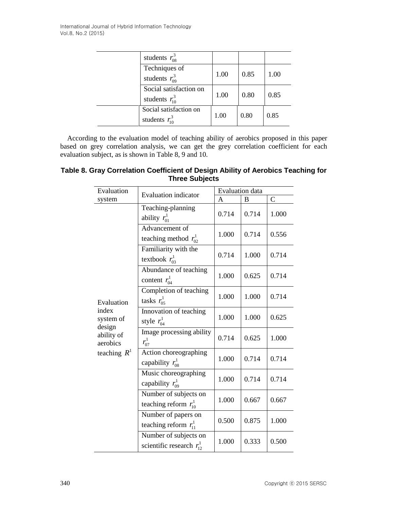|  | students $r_{08}^3$                           |      |      |      |
|--|-----------------------------------------------|------|------|------|
|  | Techniques of<br>students $r_{09}^3$          | 1.00 | 0.85 | 1.00 |
|  | Social satisfaction on<br>students $r_{10}^3$ | 1.00 | 0.80 | 0.85 |
|  | Social satisfaction on<br>students $r_{10}^3$ | 1.00 | 0.80 | 0.85 |

According to the evaluation model of teaching ability of aerobics proposed in this paper based on grey correlation analysis, we can get the grey correlation coefficient for each evaluation subject, as is shown in Table 8, 9 and 10.

# **Table 8. Gray Correlation Coefficient of Design Ability of Aerobics Teaching for Three Subjects**

| Evaluation                                                                             | <b>Evaluation</b> indicator                             | Evaluation data |       |               |
|----------------------------------------------------------------------------------------|---------------------------------------------------------|-----------------|-------|---------------|
| system                                                                                 |                                                         | A               | B     | $\mathcal{C}$ |
|                                                                                        | Teaching-planning<br>ability $r_{01}^1$                 | 0.714           | 0.714 | 1.000         |
|                                                                                        | Advancement of<br>teaching method $r_{02}^1$            | 1.000           | 0.714 | 0.556         |
|                                                                                        | Familiarity with the<br>textbook $r_{03}^1$             | 0.714           | 1.000 | 0.714         |
|                                                                                        | Abundance of teaching<br>content $r_{04}^1$             | 1.000           | 0.625 | 0.714         |
| Evaluation<br>index<br>system of<br>design<br>ability of<br>aerobics<br>teaching $R^1$ | Completion of teaching<br>tasks $r_{05}^1$              | 1.000           | 1.000 | 0.714         |
|                                                                                        | Innovation of teaching<br>style $r_{04}^1$              | 1.000           | 1.000 | 0.625         |
|                                                                                        | Image processing ability<br>$r_{07}^1$                  | 0.714           | 0.625 | 1.000         |
|                                                                                        | Action choreographing<br>capability $r_{08}^1$          | 1.000           | 0.714 | 0.714         |
|                                                                                        | Music choreographing<br>capability $r_{09}^1$           | 1.000           | 0.714 | 0.714         |
|                                                                                        | Number of subjects on<br>teaching reform $r_{10}^1$     | 1.000           | 0.667 | 0.667         |
|                                                                                        | Number of papers on<br>teaching reform $r_{11}^1$       | 0.500           | 0.875 | 1.000         |
|                                                                                        | Number of subjects on<br>scientific research $r_{12}^1$ | 1.000           | 0.333 | 0.500         |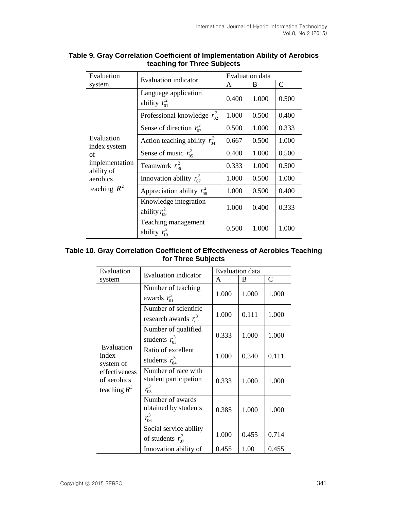| Evaluation                   | <b>Evaluation</b> indicator                 | <b>Evaluation</b> data |       |              |
|------------------------------|---------------------------------------------|------------------------|-------|--------------|
| system                       |                                             | A                      | B     | $\mathsf{C}$ |
|                              | Language application<br>ability $r_{01}^2$  | 0.400                  | 1.000 | 0.500        |
|                              | Professional knowledge $r_{02}^2$           | 1.000                  | 0.500 | 0.400        |
|                              | Sense of direction $r_{03}^2$               | 0.500                  | 1.000 | 0.333        |
| Evaluation                   | Action teaching ability $r_{04}^2$          | 0.667                  | 0.500 | 1.000        |
| index system<br>οf           | Sense of music $r_{05}^2$                   | 0.400                  | 1.000 | 0.500        |
| implementation<br>ability of | Teamwork $r_{06}^2$                         | 0.333                  | 1.000 | 0.500        |
| aerobics<br>teaching $R^2$   | Innovation ability $r_{07}^2$               | 1.000                  | 0.500 | 1.000        |
|                              | Appreciation ability $r_{08}^2$             | 1.000                  | 0.500 | 0.400        |
|                              | Knowledge integration<br>ability $r_{09}^2$ | 1.000                  | 0.400 | 0.333        |
|                              | Teaching management<br>ability $r_{10}^2$   | 0.500                  | 1.000 | 1.000        |

## **Table 9. Gray Correlation Coefficient of Implementation Ability of Aerobics teaching for Three Subjects**

## **Table 10. Gray Correlation Coefficient of Effectiveness of Aerobics Teaching for Three Subjects**

| Evaluation<br>system                                                               | <b>Evaluation</b> indicator                                | <b>Evaluation</b> data |       |               |
|------------------------------------------------------------------------------------|------------------------------------------------------------|------------------------|-------|---------------|
|                                                                                    |                                                            | A                      | B     | $\mathcal{C}$ |
| Evaluation<br>index<br>system of<br>effectiveness<br>of aerobics<br>teaching $R^3$ | Number of teaching<br>awards $r_{01}^3$                    | 1.000                  | 1.000 | 1.000         |
|                                                                                    | Number of scientific<br>research awards $r_0^3$            | 1.000                  | 0.111 | 1.000         |
|                                                                                    | Number of qualified<br>students $r_{03}^3$                 | 0.333                  | 1.000 | 1.000         |
|                                                                                    | Ratio of excellent<br>students $r_{04}^3$                  | 1.000                  | 0.340 | 0.111         |
|                                                                                    | Number of race with<br>student participation<br>$r_{05}^3$ | 0.333                  | 1.000 | 1.000         |
|                                                                                    | Number of awards<br>obtained by students<br>$r_{06}^3$     | 0.385                  | 1.000 | 1.000         |
|                                                                                    | Social service ability<br>of students $r_{07}^3$           | 1.000                  | 0.455 | 0.714         |
|                                                                                    | Innovation ability of                                      | 0.455                  | 1.00  | 0.455         |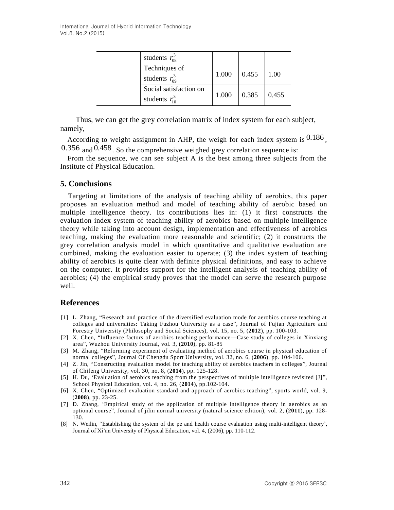|  | students $r_{08}^3$                           |       |       |       |
|--|-----------------------------------------------|-------|-------|-------|
|  | Techniques of<br>students $r_{09}^3$          | 1.000 | 0.455 | 1.00  |
|  | Social satisfaction on<br>students $r_{10}^3$ | 1.000 | 0.385 | 0.455 |

Thus, we can get the grey correlation matrix of index system for each subject, namely,

According to weight assignment in AHP, the weigh for each index system is  $0.186$ ,  $0.356$  and  $0.458$ . So the comprehensive weighed grey correlation sequence is:

From the sequence, we can see subject A is the best among three subjects from the Institute of Physical Education.

#### **5. Conclusions**

Targeting at limitations of the analysis of teaching ability of aerobics, this paper proposes an evaluation method and model of teaching ability of aerobic based on multiple intelligence theory. Its contributions lies in: (1) it first constructs the evaluation index system of teaching ability of aerobics based on multiple intelligence theory while taking into account design, implementation and effectiveness of aerobics teaching, making the evaluation more reasonable and scientific; (2) it constructs the grey correlation analysis model in which quantitative and qualitative evaluation are combined, making the evaluation easier to operate; (3) the index system of teaching ability of aerobics is quite clear with definite physical definitions, and easy to achieve on the computer. It provides support for the intelligent analysis of teaching ability of aerobics; (4) the empirical study proves that the model can serve the research purpose well.

#### **References**

- [1] L. Zhang, "Research and practice of the diversified evaluation mode for aerobics course teaching at colleges and universities: Taking Fuzhou University as a case", Journal of Fujian Agriculture and Forestry University (Philosophy and Social Sciences), vol. 15, no. 5, (**2012**), pp. 100-103.
- [2] X. Chen, "Influence factors of aerobics teaching performance—Case study of colleges in Xinxiang area", Wuzhou University Journal, vol. 3, (**2010**), pp. 81-85
- [3] M. Zhang, "Reforming experiment of evaluating method of aerobics course in physical education of normal colleges", Journal Of Chengdu Sport University, vol. 32, no. 6, (**2006**), pp. 104-106.
- [4] Z. Jin, "Constructing evaluation model for teaching ability of aerobics teachers in colleges", Journal of Chifeng University, vol. 30, no. 8, (**2014**), pp. 125-128.
- [5] H. Du, 'Evaluation of aerobics teaching from the perspectives of multiple intelligence revisited [J] ", School Physical Education, vol. 4, no. 26, (**2014**), pp.102-104.
- [6] X. Chen, "Optimized evaluation standard and approach of aerobics teaching", sports world, vol. 9, (**2008**), pp. 23-25.
- [7] D. Zhang, 'Empirical study of the application of multiple intelligence theory in aerobics as an optional course", Journal of jilin normal university (natural science edition), vol. 2, (**2011**), pp. 128- 130.
- [8] N. Weilin, "Establishing the system of the pe and health course evaluation using multi-intelligent theory', Journal of Xi'an University of Physical Education, vol. 4, (2006), pp. 110-112.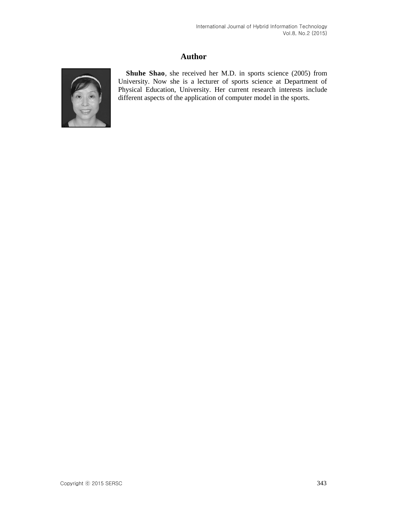## **Author**



**Shuhe Shao**, she received her M.D. in sports science (2005) from University. Now she is a lecturer of sports science at Department of Physical Education, University. Her current research interests include different aspects of the application of computer model in the sports.